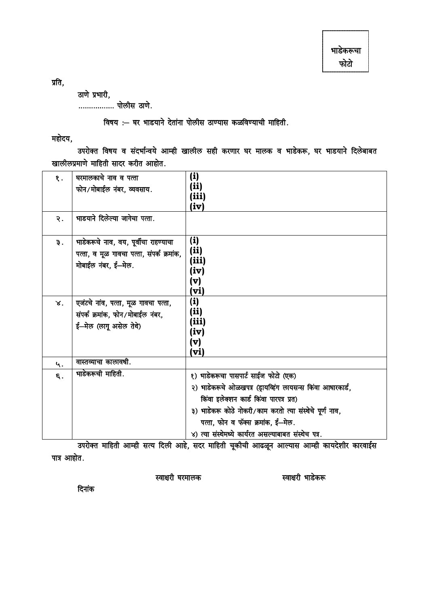प्रति,

ठाणे प्रभारी,

................. पोलीस ठाणे.

विषय :- घर भाडयाने देतांना पोलीस ठाण्यास कळविण्याची माहिती.

महोदय,

उपरोक्त विषय व संदर्भान्वये आम्ही खालील सही करणार घर मालक व भाडेकरू, घर भाडयाने दिलेबाबत खालीलप्रमाणे माहिती सादर करीत आहोत.

| $\mathbf{\S}$ .<br>२. | घरमालकाचे नाव व पत्ता<br>फोन/मोबाईल नंबर, व्यवसाय.<br>भाडयाने दिलेल्या जागेचा पत्ता.                      | (i)<br>(ii)<br>(iii)<br>(iv)                                                                                                                                                                                                                                                                           |
|-----------------------|-----------------------------------------------------------------------------------------------------------|--------------------------------------------------------------------------------------------------------------------------------------------------------------------------------------------------------------------------------------------------------------------------------------------------------|
| $\overline{z}$ .      | भाडेकरूचे नाव, वय, पूर्वीचा राहण्याचा<br>पत्ता, व मूळ गावचा पत्ता, संपर्क क्रमांक,<br>मोबाईल नंबर, ई—मेल. | (i)<br>(ii)<br>(iii)<br>(iv)<br>(v)<br>(vi)                                                                                                                                                                                                                                                            |
| $\mathbf{x}$ .        | एजंटचे नांव, पत्ता, मूळ गावचा पत्ता,<br>संपर्क क्रमांक, फोन/मोबाईल नंबर,<br>ई-मेल (लागू असेल तेथे)        | (i)<br>(ii)<br>(iii)<br>(iv)<br>(v)<br>(vi)                                                                                                                                                                                                                                                            |
| 4.                    | वास्तव्याचा कालावधी.                                                                                      |                                                                                                                                                                                                                                                                                                        |
| $\epsilon$ .          | भाडेकरूची माहिती.                                                                                         | १) भाडेकरूचा पासपार्ट साईज फोटो (एक)<br>२) भाडेकरूचे ओळखपत्र (ड्रायव्हिंग लायसन्स किंवा आधारकार्ड,<br>किंवा इलेक्शन कार्ड किंवा पारपत्र प्रत)<br>३) भाडेकरू कोठे नोकरी/काम करतो त्या संस्थेचे पूर्ण नाव,<br>पत्ता, फोन व फॅक्स क्रमांक, ई-मेल.<br>४) त्या संस्थेमध्ये कार्यरत असल्याबाबत संस्थेच पत्र. |

उपरोक्त माहिती आम्ही सत्य दिली आहे, सदर माहिती चूकीची आढळून आल्यास आम्ही कायदेशीर कारवाईस पात्र आहोत.

स्वाक्षरी घरमालक

स्वाक्षरी भाडेकरू

दिनांक